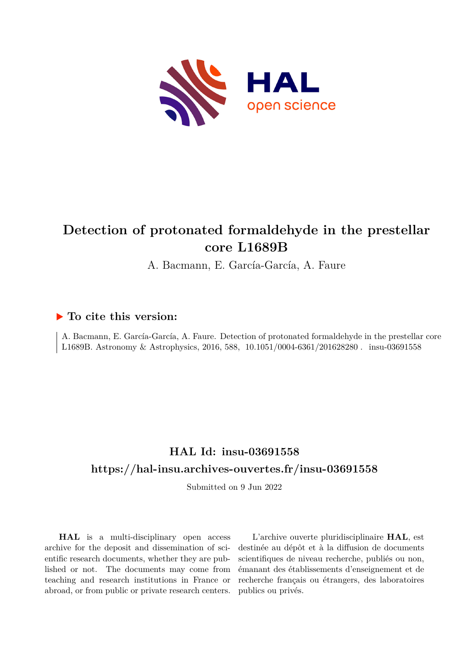

# **Detection of protonated formaldehyde in the prestellar core L1689B**

A. Bacmann, E. García-García, A. Faure

# **To cite this version:**

A. Bacmann, E. García-García, A. Faure. Detection of protonated formaldehyde in the prestellar core L1689B. Astronomy & Astrophysics, 2016, 588, 10.1051/0004-6361/201628280. insu-03691558

# **HAL Id: insu-03691558 <https://hal-insu.archives-ouvertes.fr/insu-03691558>**

Submitted on 9 Jun 2022

**HAL** is a multi-disciplinary open access archive for the deposit and dissemination of scientific research documents, whether they are published or not. The documents may come from teaching and research institutions in France or abroad, or from public or private research centers.

L'archive ouverte pluridisciplinaire **HAL**, est destinée au dépôt et à la diffusion de documents scientifiques de niveau recherche, publiés ou non, émanant des établissements d'enseignement et de recherche français ou étrangers, des laboratoires publics ou privés.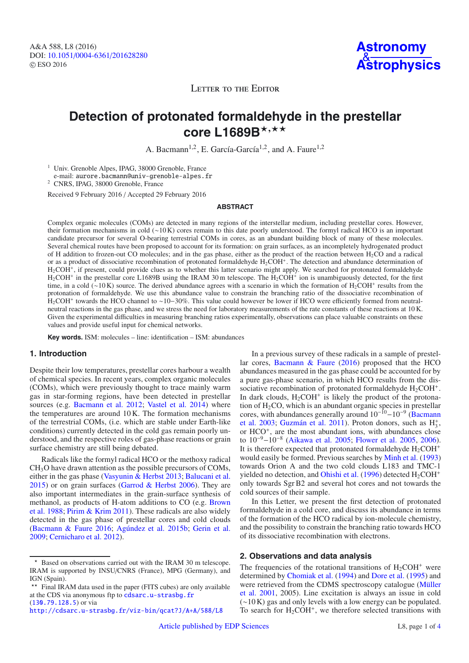LETTER TO THE EDITOR

# **Detection of protonated formaldehyde in the prestellar** core L1689B<sup>★,★★</sup>

A. Bacmann<sup>1,2</sup>, E. García-García<sup>1,2</sup>, and A. Faure<sup>1,2</sup>

<sup>1</sup> Univ. Grenoble Alpes, IPAG, 38000 Grenoble, France e-mail: aurore. bacmann@univ-grenoble-alpes. fr

<sup>2</sup> CNRS, IPAG, 38000 Grenoble, France

Received 9 February 2016 / Accepted 29 February 2016

### **ABSTRACT**

Complex organic molecules (COMs) are detected in many regions of the interstellar medium, including prestellar cores. However, their formation mechanisms in cold (∼10 K) cores remain to this date poorly understood. The formyl radical HCO is an important candidate precursor for several O-bearing terrestrial COMs in cores, as an abundant building block of many of these molecules. Several chemical routes have been proposed to account for its formation: on grain surfaces, as an incompletely hydrogenated product of H addition to frozen-out CO molecules; and in the gas phase, either as the product of the reaction between  $H_2CO$  and a radical or as a product of dissociative recombination of protonated formaldehyde  $H_2COH^+$ . The detection and abundance determination of H2COH<sup>+</sup>, if present, could provide clues as to whether this latter scenario might apply. We searched for protonated formaldehyde  $H<sub>2</sub>COH<sup>+</sup>$  in the prestellar core L1689B using the IRAM 30 m telescope. The  $H<sub>2</sub>COH<sup>+</sup>$  ion is unambiguously detected, for the first time, in a cold (∼10 K) source. The derived abundance agrees with a scenario in which the formation of H<sub>2</sub>COH<sup>+</sup> results from the protonation of formaldehyde. We use this abundance value to constrain the branching ratio of the dissociative recombination of H2COH<sup>+</sup> towards the HCO channel to ∼10−30%. This value could however be lower if HCO were efficiently formed from neutralneutral reactions in the gas phase, and we stress the need for laboratory measurements of the rate constants of these reactions at 10 K. Given the experimental difficulties in measuring branching ratios experimentally, observations can place valuable constraints on these values and provide useful input for chemical networks.

**Key words.** ISM: molecules – line: identification – ISM: abundances

### **1. Introduction**

Despite their low temperatures, prestellar cores harbour a wealth of chemical species. In recent years, complex organic molecules (COMs), which were previously thought to trace mainly warm gas in star-forming regions, have been detected in prestellar sources (e.g. Bacmann et al. 2012; Vastel et al. 2014) where the temperatures are around 10 K. The formation mechanisms of the terrestrial COMs, (i.e. which are stable under Earth-like conditions) currently detected in the cold gas remain poorly understood, and the respective roles of gas-phase reactions or grain surface chemistry are still being debated.

Radicals like the formyl radical HCO or the methoxy radical CH3O have drawn attention as the possible precursors of COMs, either in the gas phase (Vasyunin & Herbst 2013; Balucani et al. 2015) or on grain surfaces (Garrod  $&$  Herbst 2006). They are also important intermediates in the grain-surface synthesis of methanol, as products of H-atom additions to CO (e.g. Brown et al. 1988; Pirim & Krim 2011). These radicals are also widely detected in the gas phase of prestellar cores and cold clouds (Bacmann & Faure 2016; Agúndez et al. 2015b; Gerin et al. 2009; Cernicharo et al. 2012).

In a previous survey of these radicals in a sample of prestellar cores, Bacmann & Faure (2016) proposed that the HCO abundances measured in the gas phase could be accounted for by a pure gas-phase scenario, in which HCO results from the dissociative recombination of protonated formaldehyde  $H_2COH^+$ . In dark clouds,  $H_2COH^+$  is likely the product of the protonation of  $H_2CO$ , which is an abundant organic species in prestellar cores, with abundances generally around  $10^{-10} - 10^{-9}$  (Bacmann et al. 2003; Guzmán et al. 2011). Proton donors, such as  $H_3^+$ , or HCO<sup>+</sup>, are the most abundant ions, with abundances close to 10−9−10−<sup>8</sup> (Aikawa et al. 2005; Flower et al. 2005, 2006). It is therefore expected that protonated formaldehyde  $H_2COH^+$ would easily be formed. Previous searches by Minh et al. (1993) towards Orion A and the two cold clouds L183 and TMC-1 yielded no detection, and Ohishi et al. (1996) detected  $H_2COH^+$ only towards Sgr B2 and several hot cores and not towards the cold sources of their sample.

In this Letter, we present the first detection of protonated formaldehyde in a cold core, and discuss its abundance in terms of the formation of the HCO radical by ion-molecule chemistry, and the possibility to constrain the branching ratio towards HCO of its dissociative recombination with electrons.

## **2. Observations and data analysis**

The frequencies of the rotational transitions of  $H_2COH^+$  were determined by Chomiak et al. (1994) and Dore et al. (1995) and were retrieved from the CDMS spectroscopy catalogue (Müller et al. 2001, 2005). Line excitation is always an issue in cold (∼10 K) gas and only levels with a low energy can be populated. To search for  $H_2COH^+$ , we therefore selected transitions with

<sup>-</sup> Based on observations carried out with the IRAM 30 m telescope. IRAM is supported by INSU/CNRS (France), MPG (Germany), and IGN (Spain).

<sup>\*\*</sup> Final IRAM data used in the paper (FITS cubes) are only available at the CDS via anonymous ftp to [cdsarc.u-strasbg.fr](http://cdsarc.u-strasbg.fr) ([130.79.128.5](ftp://130.79.128.5)) or via

<http://cdsarc.u-strasbg.fr/viz-bin/qcat?J/A+A/588/L8>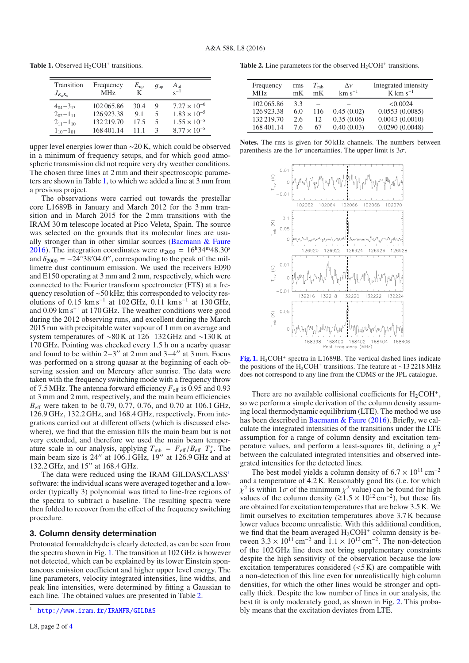**Table 1.** Observed H<sub>2</sub>COH<sup>+</sup> transitions.

| Transition<br>$J_{K_3K_3}$ | Frequency<br>MH <sub>z</sub> | $E_{\sf up}$<br>K | $g_{\rm up}$ | $A_{\rm ul}$<br>$e^{-1}$ |
|----------------------------|------------------------------|-------------------|--------------|--------------------------|
| $4_{04} - 3_{13}$          | 102065.86                    | 30.4              | 9            | $7.27 \times 10^{-6}$    |
| $202 - 111$                | 126923.38                    | 9.1               | 5            | $1.83 \times 10^{-5}$    |
| $2_{11} - 1_{10}$          | 132 219.70                   | 17.5              | 5            | $1.55 \times 10^{-5}$    |
| $1_{10} - 1_{01}$          | 168401.14                    | 11 1              | з            | $8.77 \times 10^{-5}$    |
|                            |                              |                   |              |                          |

upper level energies lower than ∼20 K, which could be observed in a minimum of frequency setups, and for which good atmospheric transmission did not require very dry weather conditions. The chosen three lines at 2 mm and their spectroscopic parameters are shown in Table 1, to which we added a line at 3 mm from a previous project.

The observations were carried out towards the prestellar core L1689B in January and March 2012 for the 3 mm transition and in March 2015 for the 2 mm transitions with the IRAM 30 m telescope located at Pico Veleta, Spain. The source was selected on the grounds that its molecular lines are usually stronger than in other similar sources (Bacmann & Faure 2016). The integration coordinates were  $\alpha_{2000} = 16^{\text{h}}34^{\text{m}}48.30^{\text{s}}$ and  $\delta_{2000} = -24°38'04.0''$ , corresponding to the peak of the millimetre dust continuum emission. We used the receivers E090 limetre dust continuum emission. We used the receivers E090 and E150 operating at 3 mm and 2 mm, respectively, which were connected to the Fourier transform spectrometer (FTS) at a frequency resolution of ∼50 kHz; this corresponded to velocity resolutions of  $0.15 \text{ km s}^{-1}$  at 102 GHz,  $0.11 \text{ km s}^{-1}$  at 130 GHz, and 0.09 km s−<sup>1</sup> at 170 GHz. The weather conditions were good during the 2012 observing runs, and excellent during the March 2015 run with precipitable water vapour of 1 mm on average and system temperatures of ∼80 K at 126−132 GHz and ∼130 K at 170 GHz. Pointing was checked every 1.5 h on a nearby quasar and found to be within  $2-3''$  at 2 mm and  $3-4''$  at 3 mm. Focus was performed on a strong quasar at the beginning of each observing session and on Mercury after sunrise. The data were taken with the frequency switching mode with a frequency throw of 7.5 MHz. The antenna forward efficiency  $F_{\text{eff}}$  is 0.95 and 0.93 at 3 mm and 2 mm, respectively, and the main beam efficiencies *B*<sub>eff</sub> were taken to be 0.79, 0.77, 0.76, and 0.70 at 106.1 GHz, 126.9 GHz, 132.2 GHz, and 168.4 GHz, respectively. From integrations carried out at different offsets (which is discussed elsewhere), we find that the emission fills the main beam but is not very extended, and therefore we used the main beam temperature scale in our analysis, applying  $T_{mb} = F_{eff}/B_{eff} T_a^*$ . The main beam size is 24" at 106 1 GHz 19" at 126 9 GHz and at main beam size is  $24''$  at  $106.1$  GHz,  $19''$  at  $126.9$  GHz and at 132.2 GHz, and 15" at 168.4 GHz.

The data were reduced using the IRAM GILDAS/CLASS<sup>1</sup> software: the individual scans were averaged together and a loworder (typically 3) polynomial was fitted to line-free regions of the spectra to subtract a baseline. The resulting spectra were then folded to recover from the effect of the frequency switching procedure.

### **3. Column density determination**

Protonated formaldehyde is clearly detected, as can be seen from the spectra shown in Fig. 1. The transition at 102 GHz is however not detected, which can be explained by its lower Einstein spontaneous emission coefficient and higher upper level energy. The line parameters, velocity integrated intensities, line widths, and peak line intensities, were determined by fitting a Gaussian to each line. The obtained values are presented in Table 2.

**Table 2.** Line parameters for the observed  $H_2COH^+$  transitions.

| Frequency<br>MH <sub>z</sub> | rms<br>mK  | $T_{\rm mb}$<br>mK | $\Lambda \nu$<br>$km s^{-1}$ | Integrated intensity<br>$K \text{ km s}^{-1}$ |
|------------------------------|------------|--------------------|------------------------------|-----------------------------------------------|
| 102 065.86<br>126923.38      | 3.3<br>6.0 | 116                | 0.45(0.02)                   | < 0.0024<br>0.0553(0.0085)                    |
| 132 219.70                   | 2.6        | 12.                | 0.35(0.06)                   | 0.0043(0.0010)                                |
| 168 401.14                   | 76         | 67                 | 0.40(0.03)                   | 0.0290(0.0048)                                |





[Fig. 1.](http://dexter.edpsciences.org/applet.php?DOI=10.1051/0004-6361/201628280&pdf_id=1) H<sub>2</sub>COH<sup>+</sup> spectra in L1689B. The vertical dashed lines indicate the positions of the H2COH<sup>+</sup> transitions. The feature at ∼13 2218 MHz does not correspond to any line from the CDMS or the JPL catalogue.

There are no available collisional coefficients for  $H_2COH^+$ , so we perform a simple derivation of the column density assuming local thermodynamic equilibrium (LTE). The method we use has been described in Bacmann & Faure (2016). Briefly, we calculate the integrated intensities of the transitions under the LTE assumption for a range of column density and excitation temperature values, and perform a least-squares fit, defining a  $\chi^2$ between the calculated integrated intensities and observed integrated intensities for the detected lines.

The best model yields a column density of  $6.7 \times 10^{11}$  cm<sup>-2</sup> and a temperature of 4.2 K. Reasonably good fits (i.e. for which  $\chi^2$  is within 1 $\sigma$  of the minimum  $\chi^2$  value) can be found for high values of the column density ( $\gtrsim 1.5 \times 10^{12}$  cm<sup>-2</sup>) but these fits values of the column density ( $\gtrsim 1.5 \times 10^{12}$  cm<sup>-2</sup>), but these fits are obtained for excitation temperatures that are below 3.5 K. We are obtained for excitation temperatures that are below 3.5 K. We limit ourselves to excitation temperatures above 3.7 K because lower values become unrealistic. With this additional condition, we find that the beam averaged  $H_2COH^+$  column density is between  $3.3 \times 10^{11}$  cm<sup>-2</sup> and  $1.1 \times 10^{12}$  cm<sup>-2</sup>. The non-detection of the 102 GHz line does not bring supplementary constraints despite the high sensitivity of the observation because the low excitation temperatures considered  $( $5 K$ )$  are compatible with a non-detection of this line even for unrealistically high column densities, for which the other lines would be stronger and optically thick. Despite the low number of lines in our analysis, the best fit is only moderately good, as shown in Fig. 2. This probably means that the excitation deviates from LTE.

<sup>1</sup> <http://www.iram.fr/IRAMFR/GILDAS>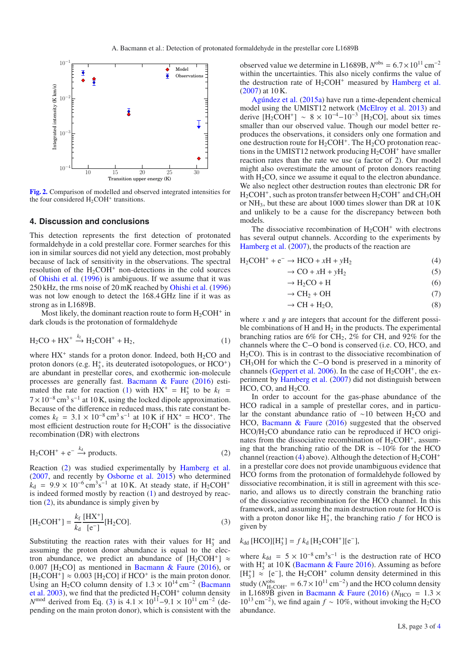

**[Fig. 2.](http://dexter.edpsciences.org/applet.php?DOI=10.1051/0004-6361/201628280&pdf_id=2)** Comparison of modelled and observed integrated intensities for the four considered  $H_2COH^+$  transitions.

### **4. Discussion and conclusions**

This detection represents the first detection of protonated formaldehyde in a cold prestellar core. Former searches for this ion in similar sources did not yield any detection, most probably because of lack of sensitivity in the observations. The spectral resolution of the  $H_2COH^+$  non-detections in the cold sources of Ohishi et al. (1996) is ambiguous. If we assume that it was 250 kHz, the rms noise of 20 mK reached by Ohishi et al. (1996) was not low enough to detect the 168.4 GHz line if it was as strong as in L1689B.

Most likely, the dominant reaction route to form  $H_2COH^+$  in dark clouds is the protonation of formaldehyde

$$
H_2CO + HX^+ \xrightarrow{k_f} H_2COH^+ + H_2,\tag{1}
$$

where  $HX^+$  stands for a proton donor. Indeed, both  $H_2CO$  and proton donors (e.g.  $H_3^+$ , its deuterated isotopologues, or  $HCO^+$ ) are abundant in prestellar cores, and exothermic ion-molecule processes are generally fast. Bacmann & Faure (2016) estimated the rate for reaction (1) with  $HX^+ = H_3^+$  to be  $k_f =$  $7 \times 10^{-8}$  cm<sup>3</sup> s<sup>-1</sup> at 10 K, using the locked dipole approximation. Because of the difference in reduced mass, this rate constant becomes  $k_f = 3.1 \times 10^{-8} \text{ cm}^3 \text{ s}^{-1}$  at 10 K if HX<sup>+</sup> = HCO<sup>+</sup>. The most efficient destruction route for  $H_2COH^+$  is the dissociative recombination (DR) with electrons

$$
H_2COH^+ + e^- \xrightarrow{k_d} products.
$$
 (2)

Reaction (2) was studied experimentally by Hamberg et al. (2007, and recently by Osborne et al. 2015) who determined  $k_d$  = 9.9 × 10<sup>-6</sup> cm<sup>3</sup>s<sup>-1</sup> at 10 K. At steady state, if H<sub>2</sub>COH<sup>+</sup> is indeed formed mostly by reaction (1) and destroyed by reaction (2), its abundance is simply given by

$$
[H_2COH^+] = \frac{k_f}{k_d} \frac{[HX^+]}{[e^-]} [H_2CO].
$$
 (3)

Substituting the reaction rates with their values for  $H_3^+$  and assuming the proton donor abundance is equal to the electron abundance, we predict an abundance of  $[H_2COH^+] \approx$ 0.007 [H<sub>2</sub>CO] as mentioned in Bacmann & Faure (2016), or  $[H_2COH^+] \approx 0.003$  [H<sub>2</sub>CO] if HCO<sup>+</sup> is the main proton donor. Using an H<sub>2</sub>CO column density of  $1.3 \times 10^{14}$  cm<sup>-2</sup> (Bacmann et al. 2003), we find that the predicted  $H_2COH^+$  column density *N*<sup>mod</sup> derived from Eq. (3) is  $4.1 \times 10^{11} - 9.1 \times 10^{11}$  cm<sup>-2</sup> (depending on the main proton donor), which is consistent with the observed value we determine in L1689B,  $N<sup>obs</sup> = 6.7 \times 10^{11}$  cm<sup>-2</sup> within the uncertainties. This also nicely confirms the value of the destruction rate of  $H_2COH^+$  measured by Hamberg et al. (2007) at 10 K.

Agúndez et al. (2015a) have run a time-dependent chemical model using the UMIST12 network (McElroy et al. 2013) and derive  $[H_2COH^+] \sim 8 \times 10^{-4} - 10^{-3}$  [H<sub>2</sub>CO], about six times smaller than our observed value. Though our model better reproduces the observations, it considers only one formation and one destruction route for  $H_2COH^+$ . The  $H_2CO$  protonation reactions in the UMIST12 network producing  $H_2COH^+$  have smaller reaction rates than the rate we use (a factor of 2). Our model might also overestimate the amount of proton donors reacting with  $H<sub>2</sub>CO$ , since we assume it equal to the electron abundance. We also neglect other destruction routes than electronic DR for  $H_2COH^+$ , such as proton transfer between  $H_2COH^+$  and  $CH_3OH$ or  $NH_3$ , but these are about 1000 times slower than DR at  $10 K$ and unlikely to be a cause for the discrepancy between both models.

The dissociative recombination of  $H_2COH^+$  with electrons has several output channels. According to the experiments by Hamberg et al. (2007), the products of the reaction are

$$
H_2COH^+ + e^- \rightarrow HCO + xH + yH_2 \tag{4}
$$

$$
\rightarrow CO + xH + yH_2 \tag{5}
$$

$$
\rightarrow H_2CO + H \tag{6}
$$

$$
\rightarrow CH_2 + OH \tag{7}
$$

$$
\rightarrow CH + H_2O,
$$
 (8)

where  $x$  and  $y$  are integers that account for the different possible combinations of  $H$  and  $H_2$  in the products. The experimental branching ratios are 6% for CH<sub>2</sub>, 2% for CH, and 92% for the channels where the C−O bond is conserved (i.e. CO, HCO, and  $H<sub>2</sub>CO$ ). This is in contrast to the dissociative recombination of CH3OH for which the C−O bond is preserved in a minority of channels (Geppert et al. 2006). In the case of  $H_2COH^+$ , the experiment by Hamberg et al. (2007) did not distinguish between  $HCO$ , CO, and  $H<sub>2</sub>CO$ .

In order to account for the gas-phase abundance of the HCO radical in a sample of prestellar cores, and in particular the constant abundance ratio of ~10 between H<sub>2</sub>CO and HCO, Bacmann & Faure (2016) suggested that the observed HCO/H2CO abundance ratio can be reproduced if HCO originates from the dissociative recombination of  $H_2COH^+$ , assuming that the branching ratio of the DR is ∼10% for the HCO channel (reaction (4) above). Although the detection of  $H_2COH^+$ in a prestellar core does not provide unambiguous evidence that HCO forms from the protonation of formaldehyde followed by dissociative recombination, it is still in agreement with this scenario, and allows us to directly constrain the branching ratio of the dissociative recombination for the HCO channel. In this framework, and assuming the main destruction route for HCO is with a proton donor like  $H_3^+$ , the branching ratio  $f$  for HCO is given by

# $k_{dd}$  [HCO][ $H_3^+$ ] = *f*  $k_d$  [ $H_2COH^+$ ][e<sup>-</sup>],

where  $k_{dd} = 5 \times 10^{-8} \text{ cm}^3 \text{s}^{-1}$  is the destruction rate of HCO with  $H_3^+$  at 10 K (Bacmann & Faure 2016). Assuming as before  $[H_3^+] \approx [e^-]$ , the  $H_2COH^+$  column density determined in this study  $(N_{\text{H}_2\text{COH}^+}^{\text{obs}} = 6.7 \times 10^{11} \text{ cm}^{-2})$  and the HCO column density<br>in L1689B given in Bacmann & Faure (2016) (Nuse = 1.3 × in L1689B given in Bacmann & Faure (2016) ( $N_{\text{HCO}} = 1.3 \times$  $10^{13}$  cm<sup>-2</sup>), we find again  $f \sim 10\%$ , without invoking the H<sub>2</sub>CO abundance.